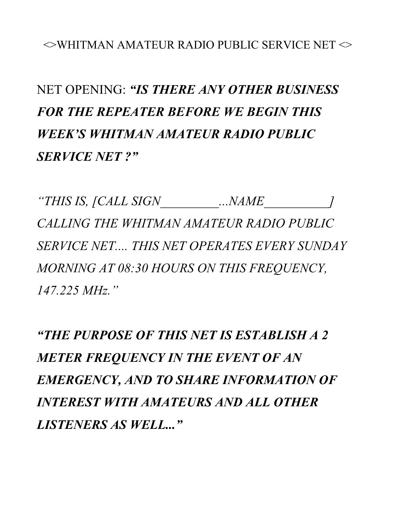## $\sim$ WHITMAN AMATEUR RADIO PUBLIC SERVICE NET  $\sim$

## NET OPENING: *"IS THERE ANY OTHER BUSINESS FOR THE REPEATER BEFORE WE BEGIN THIS WEEK'S WHITMAN AMATEUR RADIO PUBLIC SERVICE NET ?"*

*"THIS IS, [CALL SIGN\_\_\_\_\_\_\_\_\_...NAME\_\_\_\_\_\_\_\_\_\_] CALLING THE WHITMAN AMATEUR RADIO PUBLIC SERVICE NET.... THIS NET OPERATES EVERY SUNDAY MORNING AT 08:30 HOURS ON THIS FREQUENCY, 147.225 MHz."* 

*"THE PURPOSE OF THIS NET IS ESTABLISH A 2 METER FREQUENCY IN THE EVENT OF AN EMERGENCY, AND TO SHARE INFORMATION OF INTEREST WITH AMATEURS AND ALL OTHER LISTENERS AS WELL..."*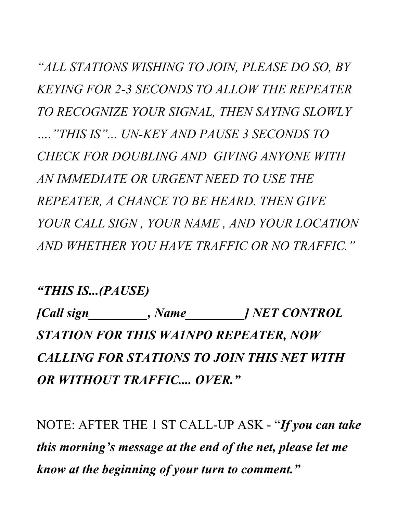*"ALL STATIONS WISHING TO JOIN, PLEASE DO SO, BY KEYING FOR 2-3 SECONDS TO ALLOW THE REPEATER TO RECOGNIZE YOUR SIGNAL, THEN SAYING SLOWLY …."THIS IS"... UN-KEY AND PAUSE 3 SECONDS TO CHECK FOR DOUBLING AND GIVING ANYONE WITH AN IMMEDIATE OR URGENT NEED TO USE THE REPEATER, A CHANCE TO BE HEARD. THEN GIVE YOUR CALL SIGN , YOUR NAME , AND YOUR LOCATION AND WHETHER YOU HAVE TRAFFIC OR NO TRAFFIC."* 

*"THIS IS...(PAUSE)* 

*[Call sign\_\_\_\_\_\_\_\_\_, Name\_\_\_\_\_\_\_\_\_] NET CONTROL STATION FOR THIS WA1NPO REPEATER, NOW CALLING FOR STATIONS TO JOIN THIS NET WITH OR WITHOUT TRAFFIC.... OVER."* 

NOTE: AFTER THE 1 ST CALL-UP ASK - "*If you can take this morning's message at the end of the net, please let me know at the beginning of your turn to comment."*